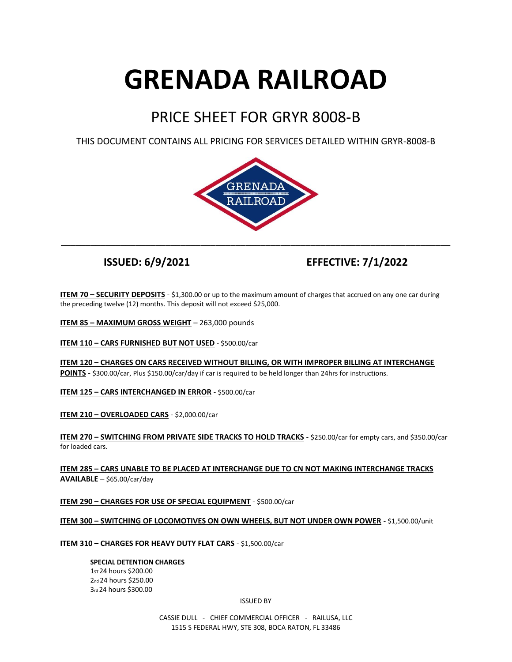# **GRENADA RAILROAD**

# PRICE SHEET FOR GRYR 8008-B

THIS DOCUMENT CONTAINS ALL PRICING FOR SERVICES DETAILED WITHIN GRYR-8008-B



**ISSUED: 6/9/2021 EFFECTIVE: 7/1/2022**

**ITEM 70 – SECURITY DEPOSITS** - \$1,300.00 or up to the maximum amount of charges that accrued on any one car during the preceding twelve (12) months. This deposit will not exceed \$25,000.

**ITEM 85 – MAXIMUM GROSS WEIGHT** – 263,000 pounds

**ITEM 110 – CARS FURNISHED BUT NOT USED** - \$500.00/car

**ITEM 120 – CHARGES ON CARS RECEIVED WITHOUT BILLING, OR WITH IMPROPER BILLING AT INTERCHANGE POINTS** - \$300.00/car, Plus \$150.00/car/day if car is required to be held longer than 24hrs for instructions.

**ITEM 125 – CARS INTERCHANGED IN ERROR** - \$500.00/car

**ITEM 210 – OVERLOADED CARS** - \$2,000.00/car

**ITEM 270 – SWITCHING FROM PRIVATE SIDE TRACKS TO HOLD TRACKS** - \$250.00/car for empty cars, and \$350.00/car for loaded cars.

**ITEM 285 – CARS UNABLE TO BE PLACED AT INTERCHANGE DUE TO CN NOT MAKING INTERCHANGE TRACKS AVAILABLE** – \$65.00/car/day

**ITEM 290 – CHARGES FOR USE OF SPECIAL EQUIPMENT** - \$500.00/car

**ITEM 300 – SWITCHING OF LOCOMOTIVES ON OWN WHEELS, BUT NOT UNDER OWN POWER** - \$1,500.00/unit

# **ITEM 310 – CHARGES FOR HEAVY DUTY FLAT CARS** - \$1,500.00/car

**SPECIAL DETENTION CHARGES** ST 24 hours \$200.00 nd 24 hours \$250.00 rd 24 hours \$300.00

ISSUED BY

CASSIE DULL - CHIEF COMMERCIAL OFFICER - RAILUSA, LLC 1515 S FEDERAL HWY, STE 308, BOCA RATON, FL 33486